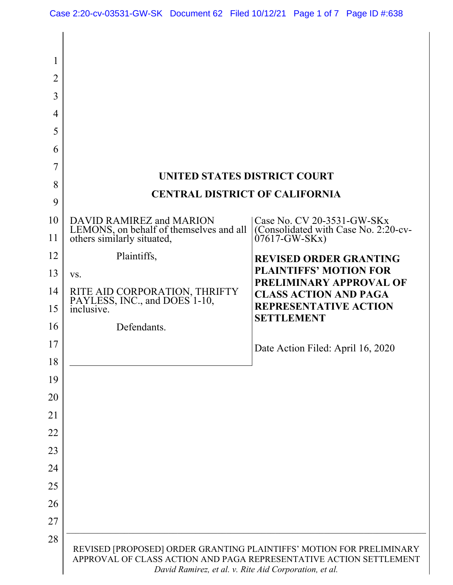| $\mathbf l$    |                                                                                                                                                                                                     |                                                          |  |
|----------------|-----------------------------------------------------------------------------------------------------------------------------------------------------------------------------------------------------|----------------------------------------------------------|--|
| $\overline{2}$ |                                                                                                                                                                                                     |                                                          |  |
| 3              |                                                                                                                                                                                                     |                                                          |  |
| 4              |                                                                                                                                                                                                     |                                                          |  |
| 5              |                                                                                                                                                                                                     |                                                          |  |
| 6              |                                                                                                                                                                                                     |                                                          |  |
| 7              |                                                                                                                                                                                                     |                                                          |  |
| 8              | <b>UNITED STATES DISTRICT COURT</b><br><b>CENTRAL DISTRICT OF CALIFORNIA</b>                                                                                                                        |                                                          |  |
| 9              |                                                                                                                                                                                                     |                                                          |  |
| 10             | DAVID RAMIREZ and MARION<br>LEMONS, on behalf of themselves and all                                                                                                                                 | Case No. CV 20-3531-GW-SKx                               |  |
| 11             | others similarly situated,                                                                                                                                                                          | (Consolidated with Case No. 2:20-cv-<br>$07617-GW-SKx$   |  |
| 12             | Plaintiffs,                                                                                                                                                                                         | <b>REVISED ORDER GRANTING</b>                            |  |
| 13             | VS.                                                                                                                                                                                                 | <b>PLAINTIFFS' MOTION FOR</b><br>PRELIMINARY APPROVAL OF |  |
| 14             | RITE AID CORPORATION, THRIFTY PAYLESS, INC., and DOES 1-10,                                                                                                                                         | <b>CLASS ACTION AND PAGA</b>                             |  |
| 15             | inclusive.                                                                                                                                                                                          | <b>REPRESENTATIVE ACTION</b><br><b>SETTLEMENT</b>        |  |
| 16             | Defendants.                                                                                                                                                                                         |                                                          |  |
| 17             |                                                                                                                                                                                                     | Date Action Filed: April 16, 2020                        |  |
| 18             |                                                                                                                                                                                                     |                                                          |  |
| 19             |                                                                                                                                                                                                     |                                                          |  |
| 20             |                                                                                                                                                                                                     |                                                          |  |
| 21             |                                                                                                                                                                                                     |                                                          |  |
| 22             |                                                                                                                                                                                                     |                                                          |  |
| 23             |                                                                                                                                                                                                     |                                                          |  |
| 24             |                                                                                                                                                                                                     |                                                          |  |
| 25             |                                                                                                                                                                                                     |                                                          |  |
| 26             |                                                                                                                                                                                                     |                                                          |  |
| 27             |                                                                                                                                                                                                     |                                                          |  |
| 28             | REVISED [PROPOSED] ORDER GRANTING PLAINTIFFS' MOTION FOR PRELIMINARY<br>APPROVAL OF CLASS ACTION AND PAGA REPRESENTATIVE ACTION SETTLEMENT<br>David Ramirez, et al. v. Rite Aid Corporation, et al. |                                                          |  |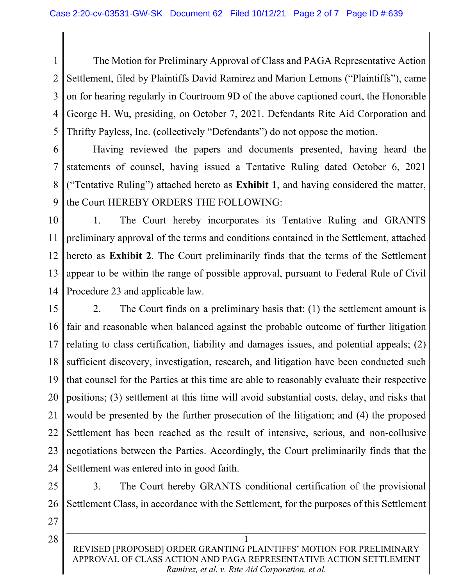1 2 3 4 5 The Motion for Preliminary Approval of Class and PAGA Representative Action Settlement, filed by Plaintiffs David Ramirez and Marion Lemons ("Plaintiffs"), came on for hearing regularly in Courtroom 9D of the above captioned court, the Honorable George H. Wu, presiding, on October 7, 2021. Defendants Rite Aid Corporation and Thrifty Payless, Inc. (collectively "Defendants") do not oppose the motion.

6 7 8 9 Having reviewed the papers and documents presented, having heard the statements of counsel, having issued a Tentative Ruling dated October 6, 2021 ("Tentative Ruling") attached hereto as **Exhibit 1**, and having considered the matter, the Court HEREBY ORDERS THE FOLLOWING:

10 11 12 13 14 1. The Court hereby incorporates its Tentative Ruling and GRANTS preliminary approval of the terms and conditions contained in the Settlement, attached hereto as **Exhibit 2**. The Court preliminarily finds that the terms of the Settlement appear to be within the range of possible approval, pursuant to Federal Rule of Civil Procedure 23 and applicable law.

15 16 17 18 19 20 21 22 23 24 2. The Court finds on a preliminary basis that: (1) the settlement amount is fair and reasonable when balanced against the probable outcome of further litigation relating to class certification, liability and damages issues, and potential appeals; (2) sufficient discovery, investigation, research, and litigation have been conducted such that counsel for the Parties at this time are able to reasonably evaluate their respective positions; (3) settlement at this time will avoid substantial costs, delay, and risks that would be presented by the further prosecution of the litigation; and (4) the proposed Settlement has been reached as the result of intensive, serious, and non-collusive negotiations between the Parties. Accordingly, the Court preliminarily finds that the Settlement was entered into in good faith.

25

26 3. The Court hereby GRANTS conditional certification of the provisional Settlement Class, in accordance with the Settlement, for the purposes of this Settlement

27

28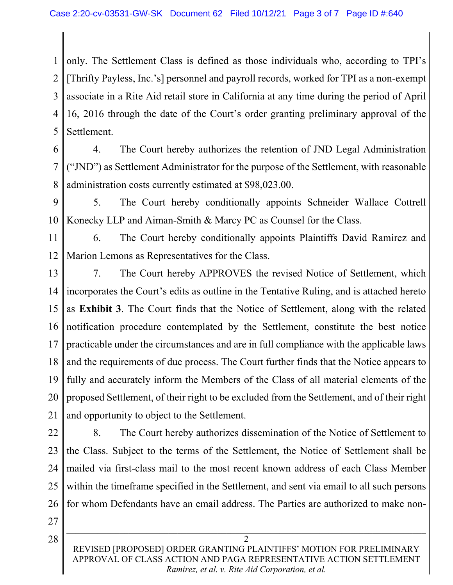1 2 3 4 5 only. The Settlement Class is defined as those individuals who, according to TPI's [Thrifty Payless, Inc.'s] personnel and payroll records, worked for TPI as a non-exempt associate in a Rite Aid retail store in California at any time during the period of April 16, 2016 through the date of the Court's order granting preliminary approval of the Settlement.

- 6 7 8 4. The Court hereby authorizes the retention of JND Legal Administration ("JND") as Settlement Administrator for the purpose of the Settlement, with reasonable administration costs currently estimated at \$98,023.00.
- 9 10 5. The Court hereby conditionally appoints Schneider Wallace Cottrell Konecky LLP and Aiman-Smith & Marcy PC as Counsel for the Class.

11 12 6. The Court hereby conditionally appoints Plaintiffs David Ramirez and Marion Lemons as Representatives for the Class.

- 13 14 15 16 17 18 19 20 21 7. The Court hereby APPROVES the revised Notice of Settlement, which incorporates the Court's edits as outline in the Tentative Ruling, and is attached hereto as **Exhibit 3**. The Court finds that the Notice of Settlement, along with the related notification procedure contemplated by the Settlement, constitute the best notice practicable under the circumstances and are in full compliance with the applicable laws and the requirements of due process. The Court further finds that the Notice appears to fully and accurately inform the Members of the Class of all material elements of the proposed Settlement, of their right to be excluded from the Settlement, and of their right and opportunity to object to the Settlement.
- 22 23 24 25 26 8. The Court hereby authorizes dissemination of the Notice of Settlement to the Class. Subject to the terms of the Settlement, the Notice of Settlement shall be mailed via first-class mail to the most recent known address of each Class Member within the timeframe specified in the Settlement, and sent via email to all such persons for whom Defendants have an email address. The Parties are authorized to make non-
- 27

28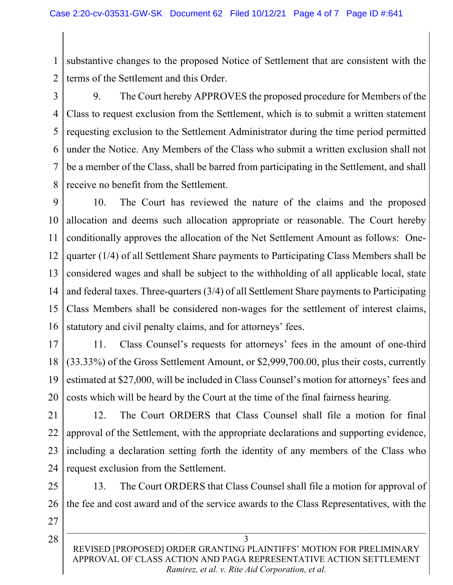1 2 substantive changes to the proposed Notice of Settlement that are consistent with the terms of the Settlement and this Order.

3 4

5 6 7 8 9. The Court hereby APPROVES the proposed procedure for Members of the Class to request exclusion from the Settlement, which is to submit a written statement requesting exclusion to the Settlement Administrator during the time period permitted under the Notice. Any Members of the Class who submit a written exclusion shall not be a member of the Class, shall be barred from participating in the Settlement, and shall receive no benefit from the Settlement.

9 10 11 12 13 14 15 16 10. The Court has reviewed the nature of the claims and the proposed allocation and deems such allocation appropriate or reasonable. The Court hereby conditionally approves the allocation of the Net Settlement Amount as follows: Onequarter (1/4) of all Settlement Share payments to Participating Class Members shall be considered wages and shall be subject to the withholding of all applicable local, state and federal taxes. Three-quarters (3/4) of all Settlement Share payments to Participating Class Members shall be considered non-wages for the settlement of interest claims, statutory and civil penalty claims, and for attorneys' fees.

17 18 19 20 11. Class Counsel's requests for attorneys' fees in the amount of one-third (33.33%) of the Gross Settlement Amount, or \$2,999,700.00, plus their costs, currently estimated at \$27,000, will be included in Class Counsel's motion for attorneys' fees and costs which will be heard by the Court at the time of the final fairness hearing.

21

22 23 24 12. The Court ORDERS that Class Counsel shall file a motion for final approval of the Settlement, with the appropriate declarations and supporting evidence, including a declaration setting forth the identity of any members of the Class who request exclusion from the Settlement.

25

26 13. The Court ORDERS that Class Counsel shall file a motion for approval of the fee and cost award and of the service awards to the Class Representatives, with the

27

28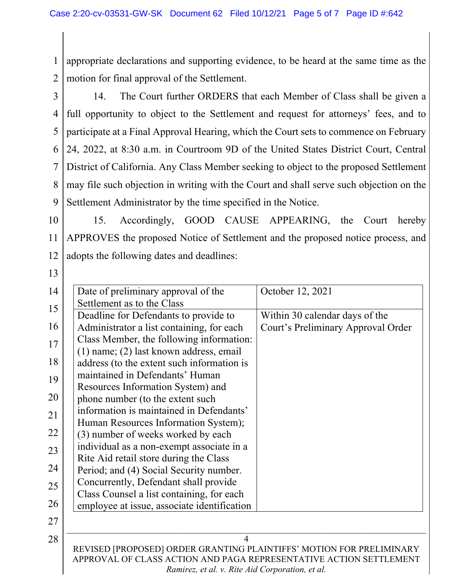1 2 appropriate declarations and supporting evidence, to be heard at the same time as the motion for final approval of the Settlement.

3 4 5 6 7 8 9 14. The Court further ORDERS that each Member of Class shall be given a full opportunity to object to the Settlement and request for attorneys' fees, and to participate at a Final Approval Hearing, which the Court sets to commence on February 24, 2022, at 8:30 a.m. in Courtroom 9D of the United States District Court, Central District of California. Any Class Member seeking to object to the proposed Settlement may file such objection in writing with the Court and shall serve such objection on the Settlement Administrator by the time specified in the Notice.

10 11 12 15. Accordingly, GOOD CAUSE APPEARING, the Court hereby APPROVES the proposed Notice of Settlement and the proposed notice process, and adopts the following dates and deadlines:

| 14 | Date of preliminary approval of the                                  | October 12, 2021                   |  |
|----|----------------------------------------------------------------------|------------------------------------|--|
| 15 | Settlement as to the Class                                           |                                    |  |
|    | Deadline for Defendants to provide to                                | Within 30 calendar days of the     |  |
| 16 | Administrator a list containing, for each                            | Court's Preliminary Approval Order |  |
| 17 | Class Member, the following information:                             |                                    |  |
|    | $(1)$ name; $(2)$ last known address, email                          |                                    |  |
| 18 | address (to the extent such information is                           |                                    |  |
| 19 | maintained in Defendants' Human                                      |                                    |  |
|    | Resources Information System) and                                    |                                    |  |
| 20 | phone number (to the extent such                                     |                                    |  |
| 21 | information is maintained in Defendants'                             |                                    |  |
|    | Human Resources Information System);                                 |                                    |  |
| 22 | (3) number of weeks worked by each                                   |                                    |  |
| 23 | individual as a non-exempt associate in a                            |                                    |  |
|    | Rite Aid retail store during the Class                               |                                    |  |
| 24 | Period; and (4) Social Security number.                              |                                    |  |
| 25 | Concurrently, Defendant shall provide                                |                                    |  |
| 26 | Class Counsel a list containing, for each                            |                                    |  |
|    | employee at issue, associate identification                          |                                    |  |
| 27 |                                                                      |                                    |  |
| 28 | 4                                                                    |                                    |  |
|    | REVISED [PROPOSED] ORDER GRANTING PLAINTIFFS' MOTION FOR PRELIMINARY |                                    |  |
|    | APPROVAL OF CLASS ACTION AND PAGA REPRESENTATIVE ACTION SETTLEMENT   |                                    |  |
|    | Ramirez, et al. v. Rite Aid Corporation, et al.                      |                                    |  |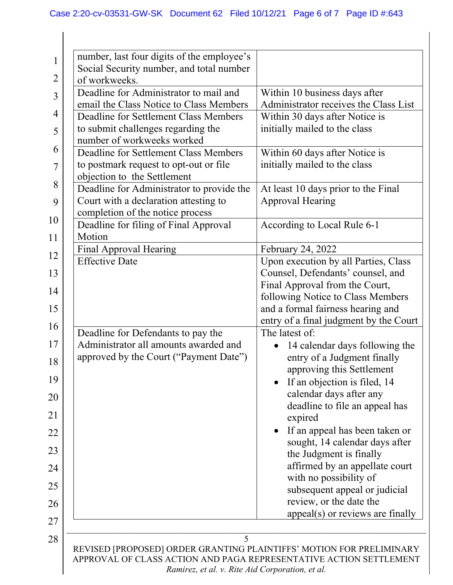| $\mathbf 1$    | number, last four digits of the employee's<br>Social Security number, and total number                                                                                                        |                                                           |
|----------------|-----------------------------------------------------------------------------------------------------------------------------------------------------------------------------------------------|-----------------------------------------------------------|
| $\overline{2}$ | of workweeks.                                                                                                                                                                                 |                                                           |
| 3              | Deadline for Administrator to mail and                                                                                                                                                        | Within 10 business days after                             |
|                | email the Class Notice to Class Members                                                                                                                                                       | Administrator receives the Class List                     |
| 4              | Deadline for Settlement Class Members                                                                                                                                                         | Within 30 days after Notice is                            |
| 5              | to submit challenges regarding the<br>number of workweeks worked                                                                                                                              | initially mailed to the class                             |
| 6              | Deadline for Settlement Class Members                                                                                                                                                         | Within 60 days after Notice is                            |
| 7              | to postmark request to opt-out or file                                                                                                                                                        | initially mailed to the class                             |
| 8              | objection to the Settlement                                                                                                                                                                   |                                                           |
|                | Deadline for Administrator to provide the                                                                                                                                                     | At least 10 days prior to the Final                       |
| 9              | Court with a declaration attesting to                                                                                                                                                         | <b>Approval Hearing</b>                                   |
| 10             | completion of the notice process                                                                                                                                                              |                                                           |
|                | Deadline for filing of Final Approval<br>Motion                                                                                                                                               | According to Local Rule 6-1                               |
| 11             | Final Approval Hearing                                                                                                                                                                        | February 24, 2022                                         |
| 12             | <b>Effective Date</b>                                                                                                                                                                         | Upon execution by all Parties, Class                      |
| 13             |                                                                                                                                                                                               | Counsel, Defendants' counsel, and                         |
|                |                                                                                                                                                                                               | Final Approval from the Court,                            |
| 14             |                                                                                                                                                                                               | following Notice to Class Members                         |
| 15             |                                                                                                                                                                                               | and a formal fairness hearing and                         |
| 16             |                                                                                                                                                                                               | entry of a final judgment by the Court                    |
|                | Deadline for Defendants to pay the                                                                                                                                                            | The latest of:                                            |
| 17             | Administrator all amounts awarded and                                                                                                                                                         | 14 calendar days following the                            |
| 18             | approved by the Court ("Payment Date")                                                                                                                                                        | entry of a Judgment finally                               |
| 19             |                                                                                                                                                                                               | approving this Settlement<br>If an objection is filed, 14 |
|                |                                                                                                                                                                                               | calendar days after any                                   |
| 20             |                                                                                                                                                                                               | deadline to file an appeal has                            |
| 21             |                                                                                                                                                                                               | expired                                                   |
| 22             |                                                                                                                                                                                               | If an appeal has been taken or                            |
|                |                                                                                                                                                                                               | sought, 14 calendar days after                            |
| 23             |                                                                                                                                                                                               | the Judgment is finally                                   |
| 24             |                                                                                                                                                                                               | affirmed by an appellate court                            |
| 25             |                                                                                                                                                                                               | with no possibility of                                    |
|                |                                                                                                                                                                                               | subsequent appeal or judicial                             |
| 26             |                                                                                                                                                                                               | review, or the date the                                   |
| 27             |                                                                                                                                                                                               | $appeal(s)$ or reviews are finally                        |
| 28             | 5                                                                                                                                                                                             |                                                           |
|                | REVISED [PROPOSED] ORDER GRANTING PLAINTIFFS' MOTION FOR PRELIMINARY<br>APPROVAL OF CLASS ACTION AND PAGA REPRESENTATIVE ACTION SETTLEMENT<br>Ramirez, et al. v. Rite Aid Corporation, et al. |                                                           |